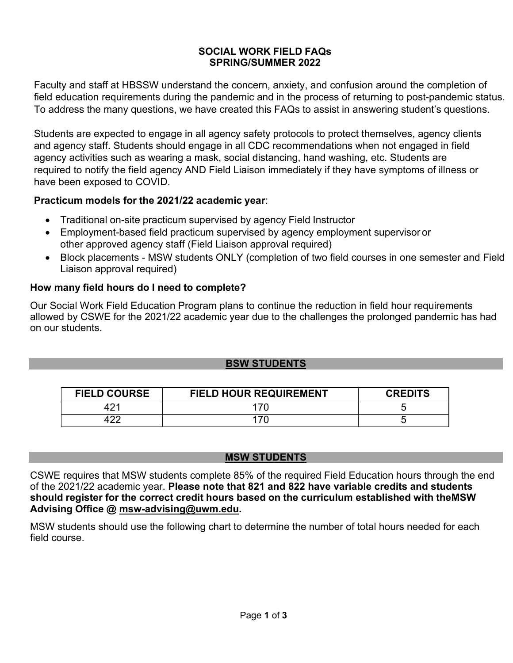#### **SOCIAL WORK FIELD FAQs SPRING/SUMMER 2022**

Faculty and staff at HBSSW understand the concern, anxiety, and confusion around the completion of field education requirements during the pandemic and in the process of returning to post-pandemic status. To address the many questions, we have created this FAQs to assist in answering student's questions.

Students are expected to engage in all agency safety protocols to protect themselves, agency clients and agency staff. Students should engage in all CDC recommendations when not engaged in field agency activities such as wearing a mask, social distancing, hand washing, etc. Students are required to notify the field agency AND Field Liaison immediately if they have symptoms of illness or have been exposed to COVID.

### **Practicum models for the 2021/22 academic year**:

- Traditional on-site practicum supervised by agency Field Instructor
- Employment-based field practicum supervised by agency employment supervisor or other approved agency staff (Field Liaison approval required)
- Block placements MSW students ONLY (completion of two field courses in one semester and Field Liaison approval required)

# **How many field hours do I need to complete?**

Our Social Work Field Education Program plans to continue the reduction in field hour requirements allowed by CSWE for the 2021/22 academic year due to the challenges the prolonged pandemic has had on our students.

### **BSW STUDENTS**

| <b>FIELD COURSE</b> | <b>FIELD HOUR REQUIREMENT</b> | <b>CREDITS</b> |
|---------------------|-------------------------------|----------------|
|                     |                               |                |
|                     |                               |                |

### **MSW STUDENTS**

CSWE requires that MSW students complete 85% of the required Field Education hours through the end of the 2021/22 academic year. **Please note that 821 and 822 have variable credits and students should register for the correct credit hours based on the curriculum established with theMSW Advising Office @ [msw-advising@uwm.edu.](mailto:msw-advising@uwm.edu)**

MSW students should use the following chart to determine the number of total hours needed for each field course.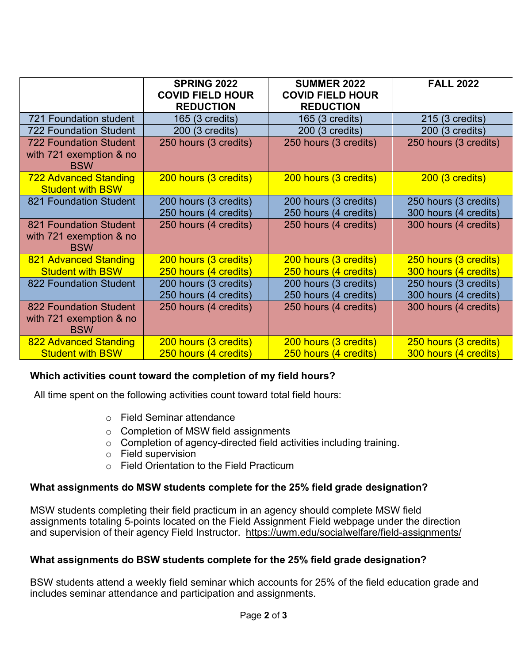|                                                                        | <b>SPRING 2022</b><br><b>COVID FIELD HOUR</b><br><b>REDUCTION</b> | <b>SUMMER 2022</b><br><b>COVID FIELD HOUR</b><br><b>REDUCTION</b> | <b>FALL 2022</b>                               |
|------------------------------------------------------------------------|-------------------------------------------------------------------|-------------------------------------------------------------------|------------------------------------------------|
| <b>721 Foundation student</b>                                          | 165 (3 credits)                                                   | 165 (3 credits)                                                   | 215 (3 credits)                                |
| <b>722 Foundation Student</b>                                          | 200 (3 credits)                                                   | 200 (3 credits)                                                   | 200 (3 credits)                                |
| <b>722 Foundation Student</b><br>with 721 exemption & no<br><b>BSW</b> | 250 hours (3 credits)                                             | 250 hours (3 credits)                                             | 250 hours (3 credits)                          |
| <b>722 Advanced Standing</b><br><b>Student with BSW</b>                | 200 hours (3 credits)                                             | 200 hours (3 credits)                                             | $200(3 \text{ credits})$                       |
| 821 Foundation Student                                                 | 200 hours (3 credits)<br>250 hours (4 credits)                    | 200 hours (3 credits)<br>250 hours (4 credits)                    | 250 hours (3 credits)<br>300 hours (4 credits) |
| 821 Foundation Student<br>with 721 exemption & no<br><b>BSW</b>        | 250 hours (4 credits)                                             | 250 hours (4 credits)                                             | 300 hours (4 credits)                          |
| 821 Advanced Standing                                                  | 200 hours (3 credits)                                             | 200 hours (3 credits)                                             | 250 hours (3 credits)                          |
| <b>Student with BSW</b>                                                | 250 hours (4 credits)                                             | 250 hours (4 credits)                                             | 300 hours (4 credits)                          |
| 822 Foundation Student                                                 | 200 hours (3 credits)                                             | 200 hours (3 credits)                                             | 250 hours (3 credits)                          |
|                                                                        | 250 hours (4 credits)                                             | 250 hours (4 credits)                                             | 300 hours (4 credits)                          |
| 822 Foundation Student<br>with 721 exemption & no<br><b>BSW</b>        | 250 hours (4 credits)                                             | 250 hours (4 credits)                                             | 300 hours (4 credits)                          |
| 822 Advanced Standing                                                  | 200 hours (3 credits)                                             | 200 hours (3 credits)                                             | 250 hours (3 credits)                          |
| <b>Student with BSW</b>                                                | 250 hours (4 credits)                                             | 250 hours (4 credits)                                             | 300 hours (4 credits)                          |

### **Which activities count toward the completion of my field hours?**

All time spent on the following activities count toward total field hours:

- o Field Seminar attendance
- o Completion of MSW field assignments
- o Completion of agency-directed field activities including training.
- o Field supervision
- o Field Orientation to the Field Practicum

### **What assignments do MSW students complete for the 25% field grade designation?**

MSW students completing their field practicum in an agency should complete MSW field assignments totaling 5-points located on the Field Assignment Field webpage under the direction and supervision of their agency Field Instructor. <https://uwm.edu/socialwelfare/field-assignments/>

### **What assignments do BSW students complete for the 25% field grade designation?**

BSW students attend a weekly field seminar which accounts for 25% of the field education grade and includes seminar attendance and participation and assignments.